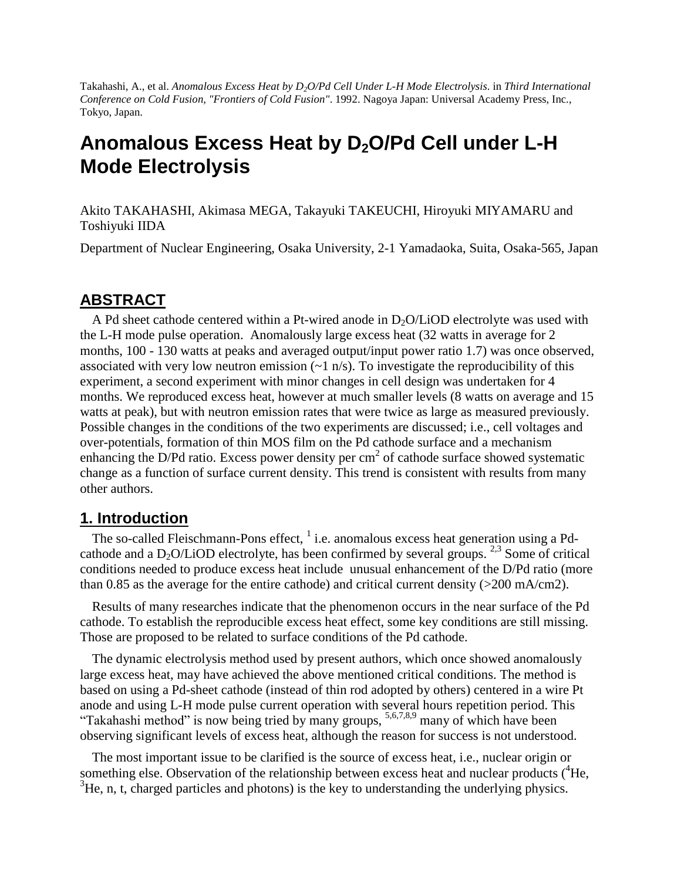Takahashi, A., et al. *Anomalous Excess Heat by D2O/Pd Cell Under L-H Mode Electrolysis*. in *Third International Conference on Cold Fusion, "Frontiers of Cold Fusion"*. 1992. Nagoya Japan: Universal Academy Press, Inc., Tokyo, Japan.

# **Anomalous Excess Heat by D2O/Pd Cell under L-H Mode Electrolysis**

Akito TAKAHASHI, Akimasa MEGA, Takayuki TAKEUCHI, Hiroyuki MIYAMARU and Toshiyuki IIDA

Department of Nuclear Engineering, Osaka University, 2-1 Yamadaoka, Suita, Osaka-565, Japan

## **ABSTRACT**

A Pd sheet cathode centered within a Pt-wired anode in  $D_2O/LiOD$  electrolyte was used with the L-H mode pulse operation. Anomalously large excess heat (32 watts in average for 2 months, 100 - 130 watts at peaks and averaged output/input power ratio 1.7) was once observed, associated with very low neutron emission  $(-1 \text{ n/s})$ . To investigate the reproducibility of this experiment, a second experiment with minor changes in cell design was undertaken for 4 months. We reproduced excess heat, however at much smaller levels (8 watts on average and 15 watts at peak), but with neutron emission rates that were twice as large as measured previously. Possible changes in the conditions of the two experiments are discussed; i.e., cell voltages and over-potentials, formation of thin MOS film on the Pd cathode surface and a mechanism enhancing the D/Pd ratio. Excess power density per  $cm<sup>2</sup>$  of cathode surface showed systematic change as a function of surface current density. This trend is consistent with results from many other authors.

## **1. Introduction**

The so-called Fleischmann-Pons effect,  $\frac{1}{1}$  i.e. anomalous excess heat generation using a Pdcathode and a D<sub>2</sub>O/LiOD electrolyte, has been confirmed by several groups. <sup>2,3</sup> Some of critical conditions needed to produce excess heat include unusual enhancement of the D/Pd ratio (more than 0.85 as the average for the entire cathode) and critical current density (>200 mA/cm2).

Results of many researches indicate that the phenomenon occurs in the near surface of the Pd cathode. To establish the reproducible excess heat effect, some key conditions are still missing. Those are proposed to be related to surface conditions of the Pd cathode.

The dynamic electrolysis method used by present authors, which once showed anomalously large excess heat, may have achieved the above mentioned critical conditions. The method is based on using a Pd-sheet cathode (instead of thin rod adopted by others) centered in a wire Pt anode and using L-H mode pulse current operation with several hours repetition period. This "Takahashi method" is now being tried by many groups,  $5,6,7,8,9$  many of which have been observing significant levels of excess heat, although the reason for success is not understood.

The most important issue to be clarified is the source of excess heat, i.e., nuclear origin or something else. Observation of the relationship between excess heat and nuclear products  $(^4\text{He}$ ,  ${}^{3}$ He, n, t, charged particles and photons) is the key to understanding the underlying physics.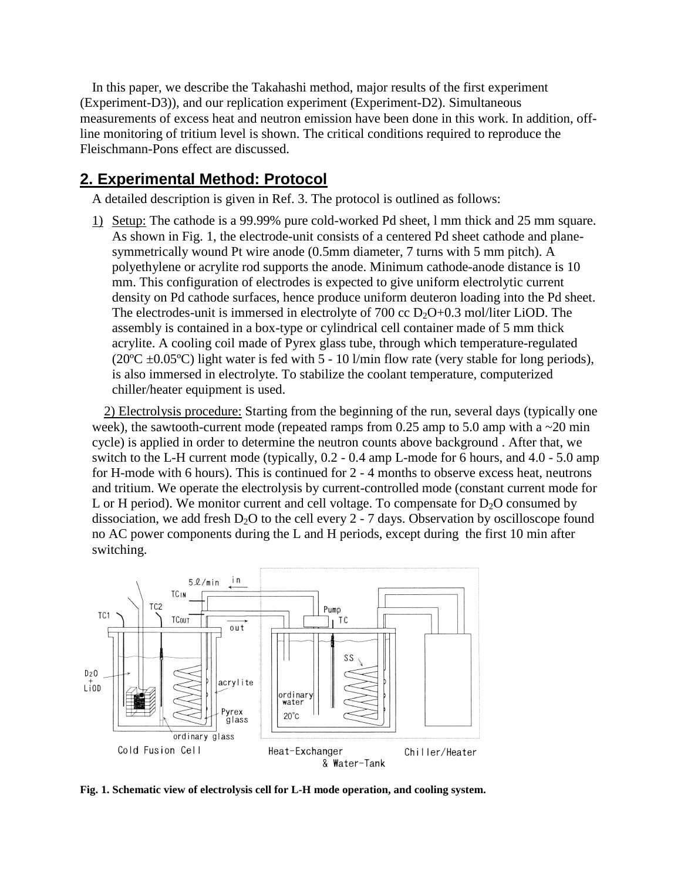In this paper, we describe the Takahashi method, major results of the first experiment (Experiment-D3)), and our replication experiment (Experiment-D2). Simultaneous measurements of excess heat and neutron emission have been done in this work. In addition, offline monitoring of tritium level is shown. The critical conditions required to reproduce the Fleischmann-Pons effect are discussed.

# **2. Experimental Method: Protocol**

A detailed description is given in Ref. 3. The protocol is outlined as follows:

1) Setup: The cathode is a 99.99% pure cold-worked Pd sheet, l mm thick and 25 mm square. As shown in Fig. 1, the electrode-unit consists of a centered Pd sheet cathode and planesymmetrically wound Pt wire anode (0.5mm diameter, 7 turns with 5 mm pitch). A polyethylene or acrylite rod supports the anode. Minimum cathode-anode distance is 10 mm. This configuration of electrodes is expected to give uniform electrolytic current density on Pd cathode surfaces, hence produce uniform deuteron loading into the Pd sheet. The electrodes-unit is immersed in electrolyte of  $700 \text{ cc } D<sub>2</sub>O+0.3 \text{ mol/liter } LiOD$ . The assembly is contained in a box-type or cylindrical cell container made of 5 mm thick acrylite. A cooling coil made of Pyrex glass tube, through which temperature-regulated (20 $^{\circ}$ C ±0.05 $^{\circ}$ C) light water is fed with 5 - 10 l/min flow rate (very stable for long periods), is also immersed in electrolyte. To stabilize the coolant temperature, computerized chiller/heater equipment is used.

2) Electrolysis procedure: Starting from the beginning of the run, several days (typically one week), the sawtooth-current mode (repeated ramps from  $0.25$  amp to  $5.0$  amp with a  $\sim$  20 min cycle) is applied in order to determine the neutron counts above background . After that, we switch to the L-H current mode (typically, 0.2 - 0.4 amp L-mode for 6 hours, and 4.0 - 5.0 amp for H-mode with 6 hours). This is continued for 2 - 4 months to observe excess heat, neutrons and tritium. We operate the electrolysis by current-controlled mode (constant current mode for L or H period). We monitor current and cell voltage. To compensate for  $D_2O$  consumed by dissociation, we add fresh  $D_2O$  to the cell every 2 - 7 days. Observation by oscilloscope found no AC power components during the L and H periods, except during the first 10 min after switching.



**Fig. 1. Schematic view of electrolysis cell for L-H mode operation, and cooling system.**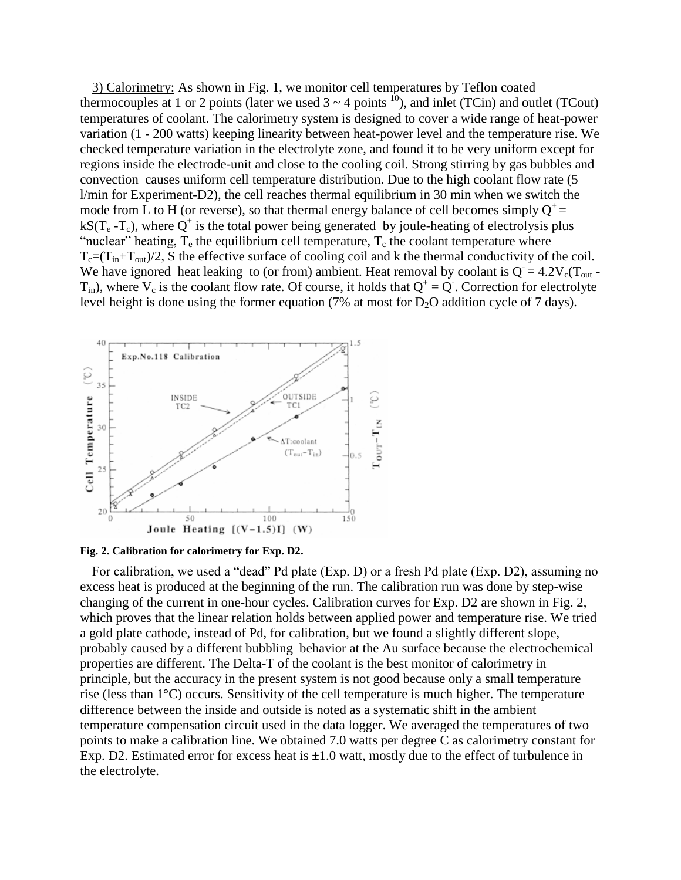3) Calorimetry: As shown in Fig. 1, we monitor cell temperatures by Teflon coated thermocouples at 1 or 2 points (later we used  $3 \sim 4$  points <sup>10</sup>), and inlet (TCin) and outlet (TCout) temperatures of coolant. The calorimetry system is designed to cover a wide range of heat-power variation (1 - 200 watts) keeping linearity between heat-power level and the temperature rise. We checked temperature variation in the electrolyte zone, and found it to be very uniform except for regions inside the electrode-unit and close to the cooling coil. Strong stirring by gas bubbles and convection causes uniform cell temperature distribution. Due to the high coolant flow rate (5 l/min for Experiment-D2), the cell reaches thermal equilibrium in 30 min when we switch the mode from L to H (or reverse), so that thermal energy balance of cell becomes simply  $Q^+$  = kS( $T_e$ - $T_c$ ), where Q<sup>+</sup> is the total power being generated by joule-heating of electrolysis plus "nuclear" heating,  $T_e$  the equilibrium cell temperature,  $T_c$  the coolant temperature where  $T_c=(T_{in}+T_{out})/2$ , S the effective surface of cooling coil and k the thermal conductivity of the coil. We have ignored heat leaking to (or from) ambient. Heat removal by coolant is  $Q = 4.2V_c(T_{out} T_{in}$ ), where  $V_c$  is the coolant flow rate. Of course, it holds that  $Q^+ = Q$ . Correction for electrolyte level height is done using the former equation (7% at most for  $D_2O$  addition cycle of 7 days).



**Fig. 2. Calibration for calorimetry for Exp. D2.**

For calibration, we used a "dead" Pd plate (Exp. D) or a fresh Pd plate (Exp. D2), assuming no excess heat is produced at the beginning of the run. The calibration run was done by step-wise changing of the current in one-hour cycles. Calibration curves for Exp. D2 are shown in Fig. 2, which proves that the linear relation holds between applied power and temperature rise. We tried a gold plate cathode, instead of Pd, for calibration, but we found a slightly different slope, probably caused by a different bubbling behavior at the Au surface because the electrochemical properties are different. The Delta-T of the coolant is the best monitor of calorimetry in principle, but the accuracy in the present system is not good because only a small temperature rise (less than 1°C) occurs. Sensitivity of the cell temperature is much higher. The temperature difference between the inside and outside is noted as a systematic shift in the ambient temperature compensation circuit used in the data logger. We averaged the temperatures of two points to make a calibration line. We obtained 7.0 watts per degree C as calorimetry constant for Exp. D2. Estimated error for excess heat is  $\pm 1.0$  watt, mostly due to the effect of turbulence in the electrolyte.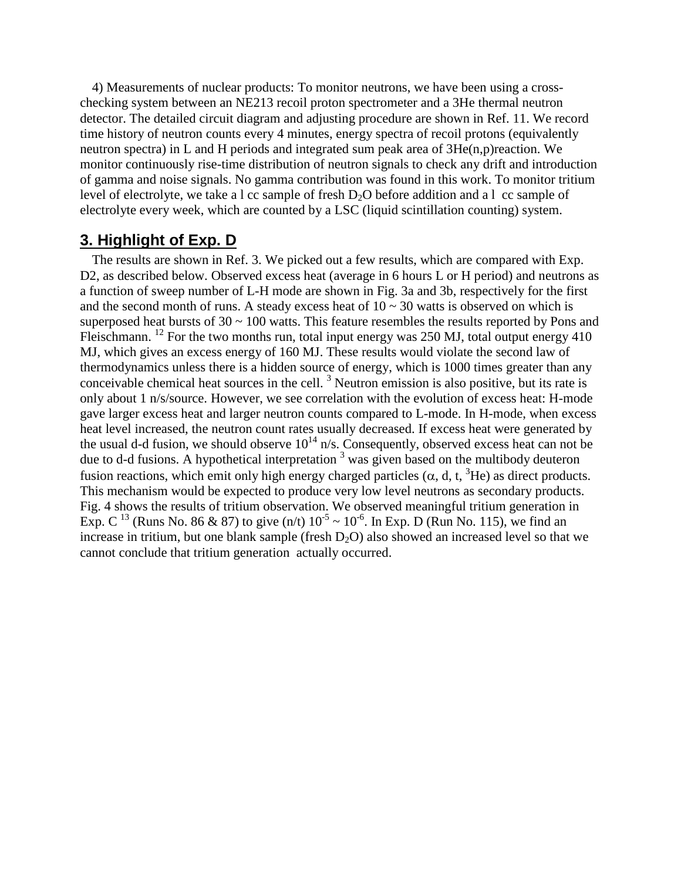4) Measurements of nuclear products: To monitor neutrons, we have been using a crosschecking system between an NE213 recoil proton spectrometer and a 3He thermal neutron detector. The detailed circuit diagram and adjusting procedure are shown in Ref. 11. We record time history of neutron counts every 4 minutes, energy spectra of recoil protons (equivalently neutron spectra) in L and H periods and integrated sum peak area of  $3He(n,p)$  reaction. We monitor continuously rise-time distribution of neutron signals to check any drift and introduction of gamma and noise signals. No gamma contribution was found in this work. To monitor tritium level of electrolyte, we take a l cc sample of fresh  $D_2O$  before addition and a l cc sample of electrolyte every week, which are counted by a LSC (liquid scintillation counting) system.

#### **3. Highlight of Exp. D**

The results are shown in Ref. 3. We picked out a few results, which are compared with Exp. D2, as described below. Observed excess heat (average in 6 hours L or H period) and neutrons as a function of sweep number of L-H mode are shown in Fig. 3a and 3b, respectively for the first and the second month of runs. A steady excess heat of  $10 \sim 30$  watts is observed on which is superposed heat bursts of  $30 \sim 100$  watts. This feature resembles the results reported by Pons and Fleischmann. <sup>12</sup> For the two months run, total input energy was 250 MJ, total output energy 410 MJ, which gives an excess energy of 160 MJ. These results would violate the second law of thermodynamics unless there is a hidden source of energy, which is 1000 times greater than any conceivable chemical heat sources in the cell.<sup>3</sup> Neutron emission is also positive, but its rate is only about 1 n/s/source. However, we see correlation with the evolution of excess heat: H-mode gave larger excess heat and larger neutron counts compared to L-mode. In H-mode, when excess heat level increased, the neutron count rates usually decreased. If excess heat were generated by the usual d-d fusion, we should observe  $10^{14}$  n/s. Consequently, observed excess heat can not be due to d-d fusions. A hypothetical interpretation  $\frac{3}{3}$  was given based on the multibody deuteron fusion reactions, which emit only high energy charged particles ( $\alpha$ , d, t, <sup>3</sup>He) as direct products. This mechanism would be expected to produce very low level neutrons as secondary products. Fig. 4 shows the results of tritium observation. We observed meaningful tritium generation in Exp. C<sup>13</sup> (Runs No. 86 & 87) to give (n/t)  $10^{-5} \sim 10^{-6}$ . In Exp. D (Run No. 115), we find an increase in tritium, but one blank sample (fresh  $D_2O$ ) also showed an increased level so that we cannot conclude that tritium generation actually occurred.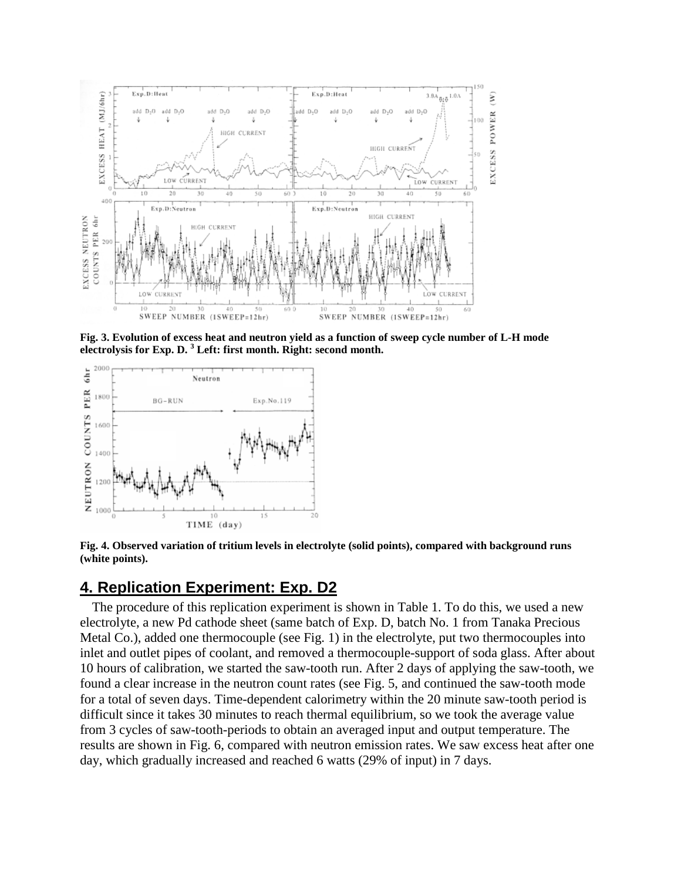

**Fig. 3. Evolution of excess heat and neutron yield as a function of sweep cycle number of L-H mode electrolysis for Exp. D. <sup>3</sup> Left: first month. Right: second month.**



**Fig. 4. Observed variation of tritium levels in electrolyte (solid points), compared with background runs (white points).**

## **4. Replication Experiment: Exp. D2**

The procedure of this replication experiment is shown in Table 1. To do this, we used a new electrolyte, a new Pd cathode sheet (same batch of Exp. D, batch No. 1 from Tanaka Precious Metal Co.), added one thermocouple (see Fig. 1) in the electrolyte, put two thermocouples into inlet and outlet pipes of coolant, and removed a thermocouple-support of soda glass. After about 10 hours of calibration, we started the saw-tooth run. After 2 days of applying the saw-tooth, we found a clear increase in the neutron count rates (see Fig. 5, and continued the saw-tooth mode for a total of seven days. Time-dependent calorimetry within the 20 minute saw-tooth period is difficult since it takes 30 minutes to reach thermal equilibrium, so we took the average value from 3 cycles of saw-tooth-periods to obtain an averaged input and output temperature. The results are shown in Fig. 6, compared with neutron emission rates. We saw excess heat after one day, which gradually increased and reached 6 watts (29% of input) in 7 days.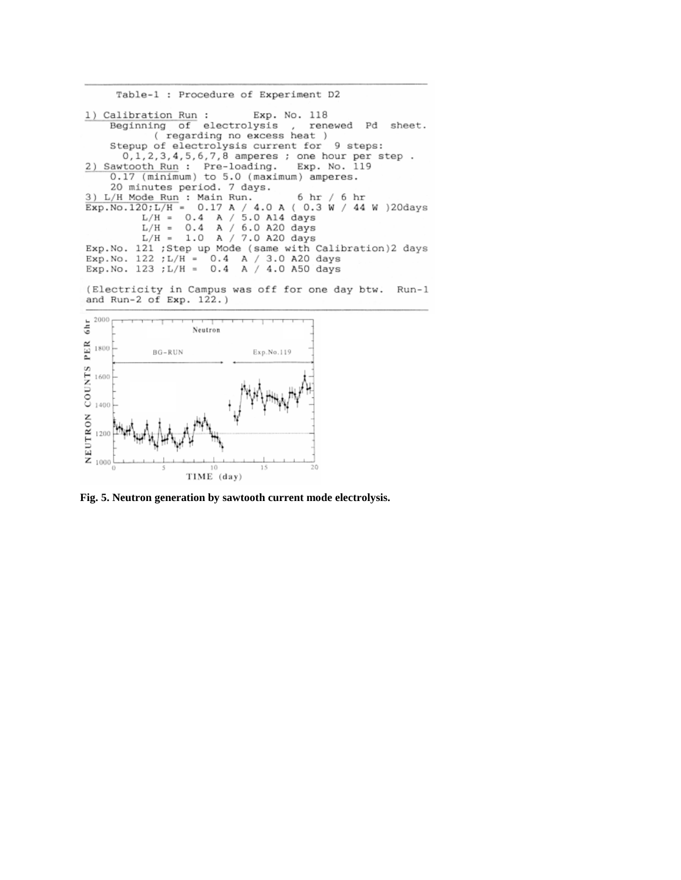```
Table-1 : Procedure of Experiment D2
1) Calibration Run :
                                  Exp. No. 118
     Beginning of electrolysis
                                         , renewed
                                                         Pd
                                                              sheet.
              ( regarding no excess heat )
     Stepup of electrolysis current for 9 steps:
        0, 1, 2, 3, 4, 5, 6, 7, 8 amperes ; one hour per step.
 2) Sawtooth Run : Pre-loading. Exp. No. 119
     0.17 (minimum) to 5.0 (maximum) amperes.<br>20 minutes period. 7 days.
 3) L/H Mode Run : Main Run.
                                            6 hr / 6 hr
                                   4.0 A ( 0.3 W / 44 W )20days
Exp.NO.120; L/H = 0.17 A /L/H = 0.4 A / 5.0 A14 days<br>L/H = 0.4 A / 6.0 A20 days<br>L/H = 1.0 A / 7.0 A20 days
 Exp. No. 121 ; Step up Mode (same with Calibration)2 days
Exp. No. 122 ; L/H = 0.4 A / 3.0 A20 days<br>Exp. No. 123 ; L/H = 0.4 A / 4.0 A50 days
 (Electricity in Campus was off for one day btw. Run-1
 and Run-2 of Exp. 122.)
  2000
6hr
                      Neutron
PER
  1800
              BG - R UNExp.No.119
NEUTRON COUNTS
  1600
```
**Fig. 5. Neutron generation by sawtooth current mode electrolysis.**

10 TIME (day) 15

20

1400

1200

1000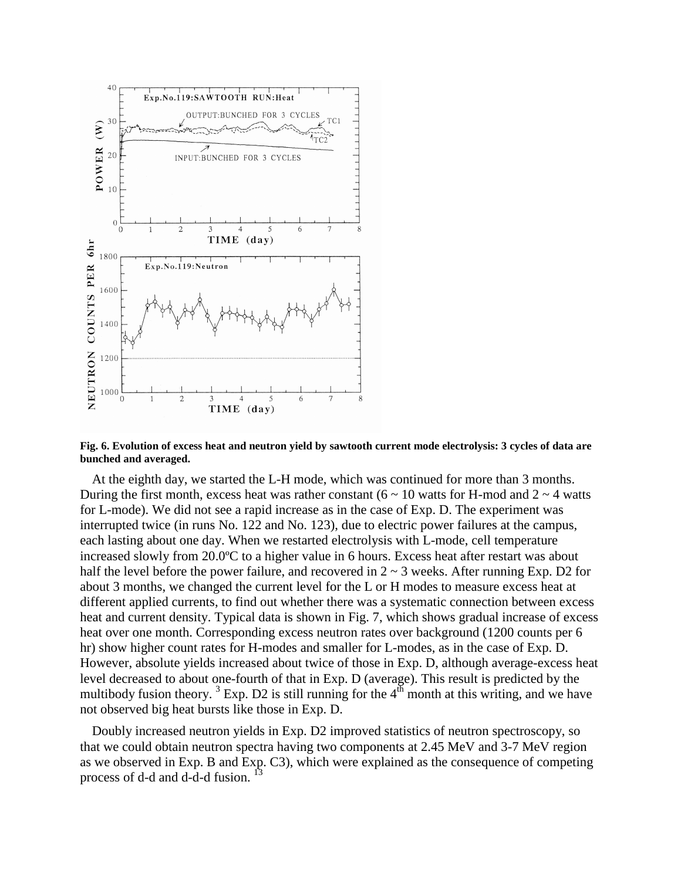

**Fig. 6. Evolution of excess heat and neutron yield by sawtooth current mode electrolysis: 3 cycles of data are bunched and averaged.**

At the eighth day, we started the L-H mode, which was continued for more than 3 months. During the first month, excess heat was rather constant  $(6 \sim 10$  watts for H-mod and  $2 \sim 4$  watts for L-mode). We did not see a rapid increase as in the case of Exp. D. The experiment was interrupted twice (in runs No. 122 and No. 123), due to electric power failures at the campus, each lasting about one day. When we restarted electrolysis with L-mode, cell temperature increased slowly from 20.0ºC to a higher value in 6 hours. Excess heat after restart was about half the level before the power failure, and recovered in  $2 \sim 3$  weeks. After running Exp. D2 for about 3 months, we changed the current level for the L or H modes to measure excess heat at different applied currents, to find out whether there was a systematic connection between excess heat and current density. Typical data is shown in Fig. 7, which shows gradual increase of excess heat over one month. Corresponding excess neutron rates over background (1200 counts per 6 hr) show higher count rates for H-modes and smaller for L-modes, as in the case of Exp. D. However, absolute yields increased about twice of those in Exp. D, although average-excess heat level decreased to about one-fourth of that in Exp. D (average). This result is predicted by the multibody fusion theory. <sup>3</sup> Exp. D2 is still running for the  $4<sup>th</sup>$  month at this writing, and we have not observed big heat bursts like those in Exp. D.

Doubly increased neutron yields in Exp. D2 improved statistics of neutron spectroscopy, so that we could obtain neutron spectra having two components at 2.45 MeV and 3-7 MeV region as we observed in Exp. B and Exp. C3), which were explained as the consequence of competing process of d-d and d-d-d fusion.  $13$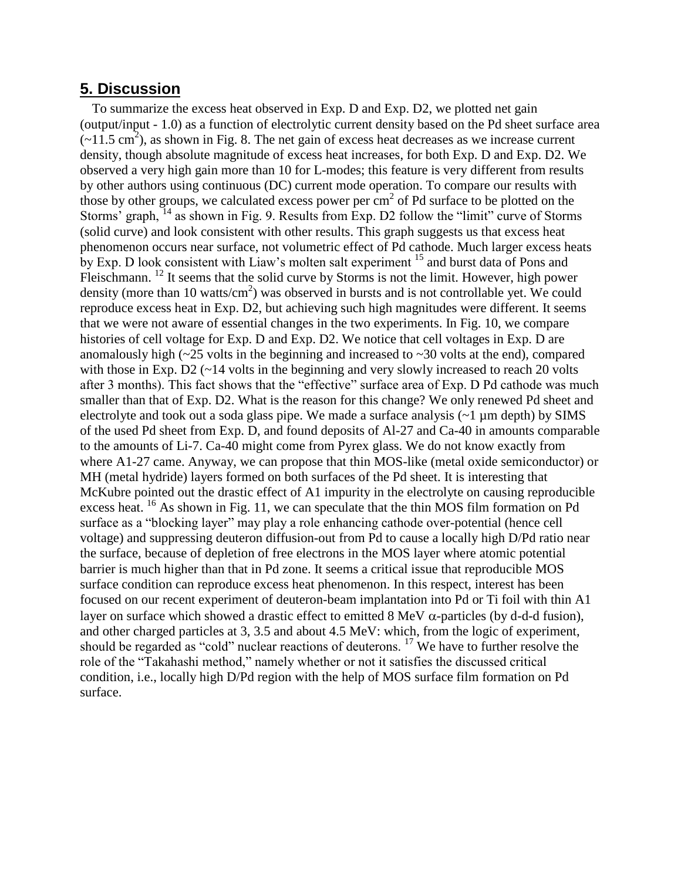#### **5. Discussion**

To summarize the excess heat observed in Exp. D and Exp. D2, we plotted net gain (output/input - 1.0) as a function of electrolytic current density based on the Pd sheet surface area  $(-11.5 \text{ cm}^2)$ , as shown in Fig. 8. The net gain of excess heat decreases as we increase current density, though absolute magnitude of excess heat increases, for both Exp. D and Exp. D2. We observed a very high gain more than 10 for L-modes; this feature is very different from results by other authors using continuous (DC) current mode operation. To compare our results with those by other groups, we calculated excess power per  $cm<sup>2</sup>$  of Pd surface to be plotted on the Storms' graph, <sup>14</sup> as shown in Fig. 9. Results from Exp. D2 follow the "limit" curve of Storms (solid curve) and look consistent with other results. This graph suggests us that excess heat phenomenon occurs near surface, not volumetric effect of Pd cathode. Much larger excess heats by Exp. D look consistent with Liaw's molten salt experiment  $15$  and burst data of Pons and Fleischmann.<sup>12</sup> It seems that the solid curve by Storms is not the limit. However, high power density (more than 10 watts/cm<sup>2</sup>) was observed in bursts and is not controllable yet. We could reproduce excess heat in Exp. D2, but achieving such high magnitudes were different. It seems that we were not aware of essential changes in the two experiments. In Fig. 10, we compare histories of cell voltage for Exp. D and Exp. D2. We notice that cell voltages in Exp. D are anomalously high  $(\sim 25 \text{ volts} \cdot \text{in} \cdot \text{the beginning and increased to } \sim 30 \text{ volts at the end})$ , compared with those in Exp.  $D2$  ( $\sim$ 14 volts in the beginning and very slowly increased to reach 20 volts after 3 months). This fact shows that the "effective" surface area of Exp. D Pd cathode was much smaller than that of Exp. D2. What is the reason for this change? We only renewed Pd sheet and electrolyte and took out a soda glass pipe. We made a surface analysis  $(\sim 1 \mu m$  depth) by SIMS of the used Pd sheet from Exp. D, and found deposits of Al-27 and Ca-40 in amounts comparable to the amounts of Li-7. Ca-40 might come from Pyrex glass. We do not know exactly from where A1-27 came. Anyway, we can propose that thin MOS-like (metal oxide semiconductor) or MH (metal hydride) layers formed on both surfaces of the Pd sheet. It is interesting that McKubre pointed out the drastic effect of A1 impurity in the electrolyte on causing reproducible excess heat. <sup>16</sup> As shown in Fig. 11, we can speculate that the thin MOS film formation on Pd surface as a "blocking layer" may play a role enhancing cathode over-potential (hence cell voltage) and suppressing deuteron diffusion-out from Pd to cause a locally high D/Pd ratio near the surface, because of depletion of free electrons in the MOS layer where atomic potential barrier is much higher than that in Pd zone. It seems a critical issue that reproducible MOS surface condition can reproduce excess heat phenomenon. In this respect, interest has been focused on our recent experiment of deuteron-beam implantation into Pd or Ti foil with thin A1 layer on surface which showed a drastic effect to emitted  $8$  MeV  $\alpha$ -particles (by d-d-d fusion), and other charged particles at 3, 3.5 and about 4.5 MeV: which, from the logic of experiment, should be regarded as "cold" nuclear reactions of deuterons.<sup>17</sup> We have to further resolve the role of the "Takahashi method," namely whether or not it satisfies the discussed critical condition, i.e., locally high D/Pd region with the help of MOS surface film formation on Pd surface.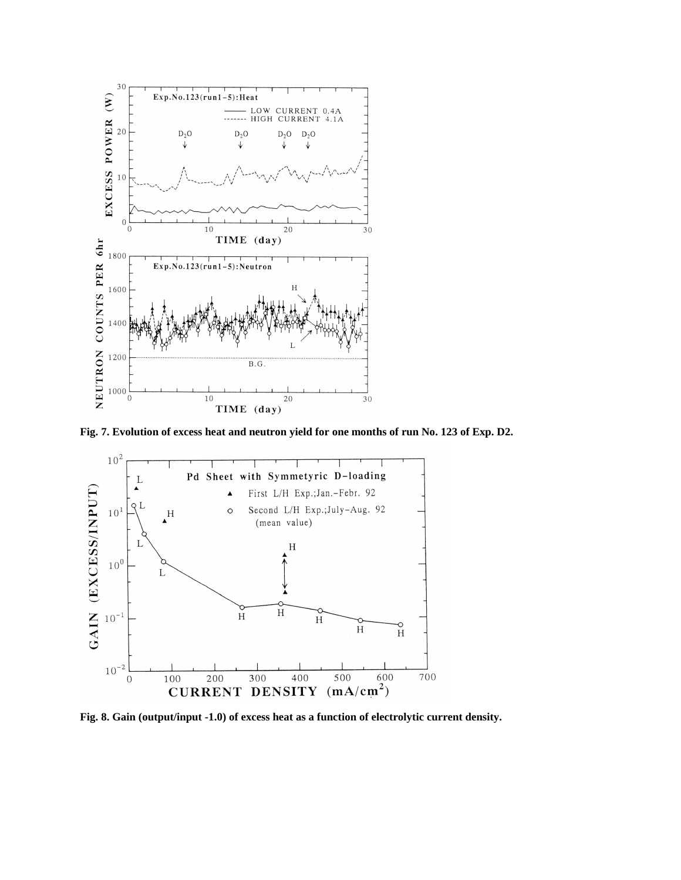

**Fig. 7. Evolution of excess heat and neutron yield for one months of run No. 123 of Exp. D2.**



**Fig. 8. Gain (output/input -1.0) of excess heat as a function of electrolytic current density.**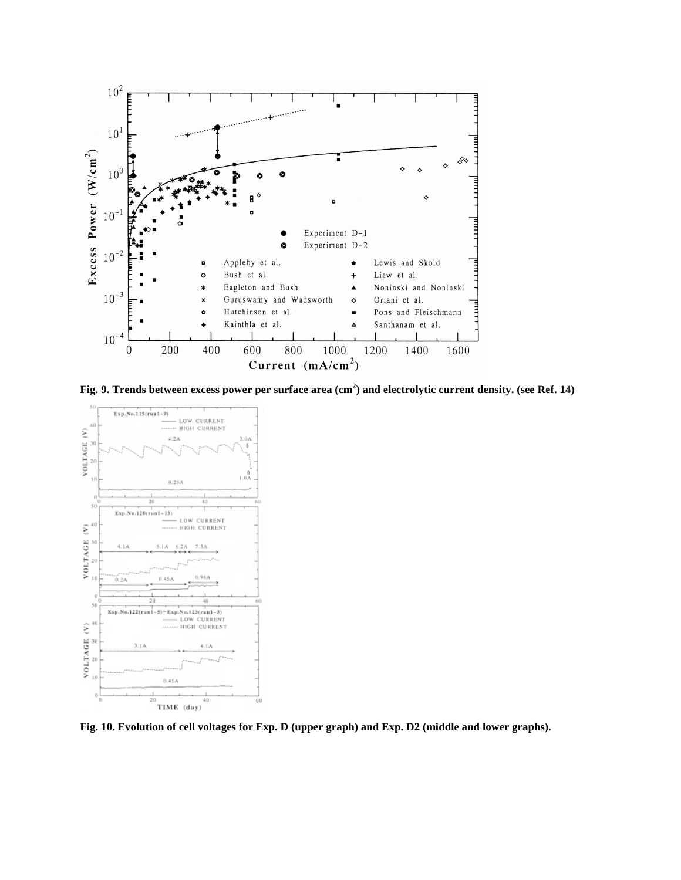

**Fig. 9. Trends between excess power per surface area (cm<sup>2</sup> ) and electrolytic current density. (see Ref. 14)**



**Fig. 10. Evolution of cell voltages for Exp. D (upper graph) and Exp. D2 (middle and lower graphs).**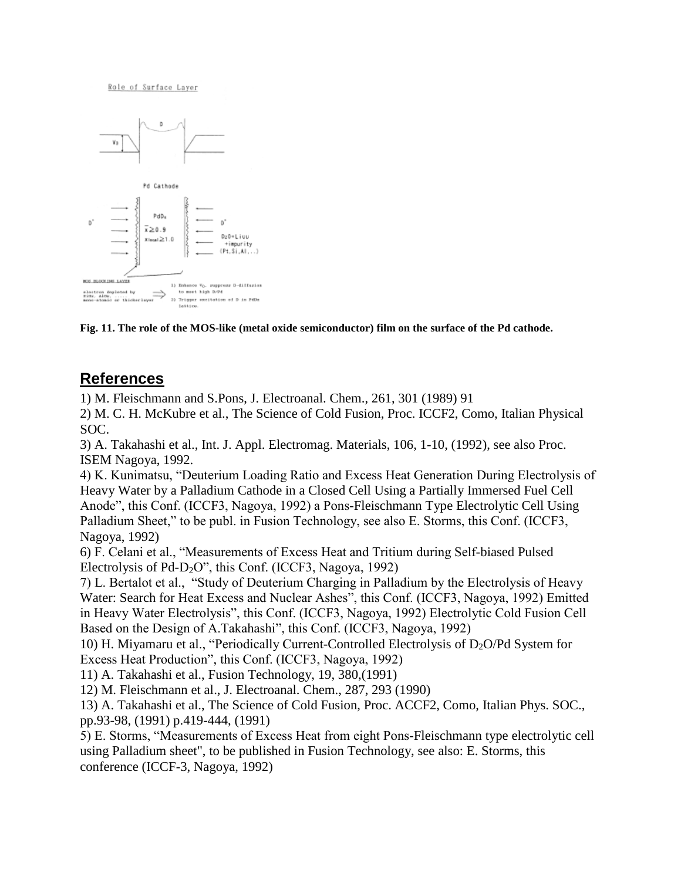Role of Surface Layer



**Fig. 11. The role of the MOS-like (metal oxide semiconductor) film on the surface of the Pd cathode.**

# **References**

1) M. Fleischmann and S.Pons, J. Electroanal. Chem., 261, 301 (1989) 91

2) M. C. H. McKubre et al., The Science of Cold Fusion, Proc. ICCF2, Como, Italian Physical SOC.

3) A. Takahashi et al., Int. J. Appl. Electromag. Materials, 106, 1-10, (1992), see also Proc. ISEM Nagoya, 1992.

4) K. Kunimatsu, "Deuterium Loading Ratio and Excess Heat Generation During Electrolysis of Heavy Water by a Palladium Cathode in a Closed Cell Using a Partially Immersed Fuel Cell Anode", this Conf. (ICCF3, Nagoya, 1992) a Pons-Fleischmann Type Electrolytic Cell Using Palladium Sheet," to be publ. in Fusion Technology, see also E. Storms, this Conf. (ICCF3, Nagoya, 1992)

6) F.Celanietal.,"MeasurementsofExcessHeatandTritiumduringSelf-biased Pulsed Electrolysis of Pd-D<sub>2</sub>O", this Conf. (ICCF3, Nagoya, 1992)

7)L.Bertalotetal.,"StudyofDeuteriumCharginginPalladiumbytheElectrolysisofHeavy Water: Search for Heat Excess and Nuclear Ashes", this Conf. (ICCF3, Nagoya, 1992) Emitted in Heavy Water Electrolysis", this Conf. (ICCF3, Nagoya, 1992) Electrolytic Cold Fusion Cell Based on the Design of A.Takahashi", this Conf. (ICCF3, Nagoya, 1992)

10) H. Miyamaru et al., "Periodically Current-Controlled Electrolysis of  $D_2O/Pd$  System for Excess Heat Production", this Conf. (ICCF3, Nagoya, 1992)

11) A. Takahashi et al., Fusion Technology, 19, 380,(1991)

12) M. Fleischmann et al., J. Electroanal. Chem., 287, 293 (1990)

13) A. Takahashi et al., The Science of Cold Fusion, Proc. ACCF2, Como, Italian Phys. SOC., pp.93-98, (1991) p.419-444, (1991)

5)E.Storms,"MeasurementsofExcessHeatfromeightPons-Fleischmann type electrolytic cell using Palladium sheet", to be published in Fusion Technology, see also: E. Storms, this conference (ICCF-3, Nagoya, 1992)